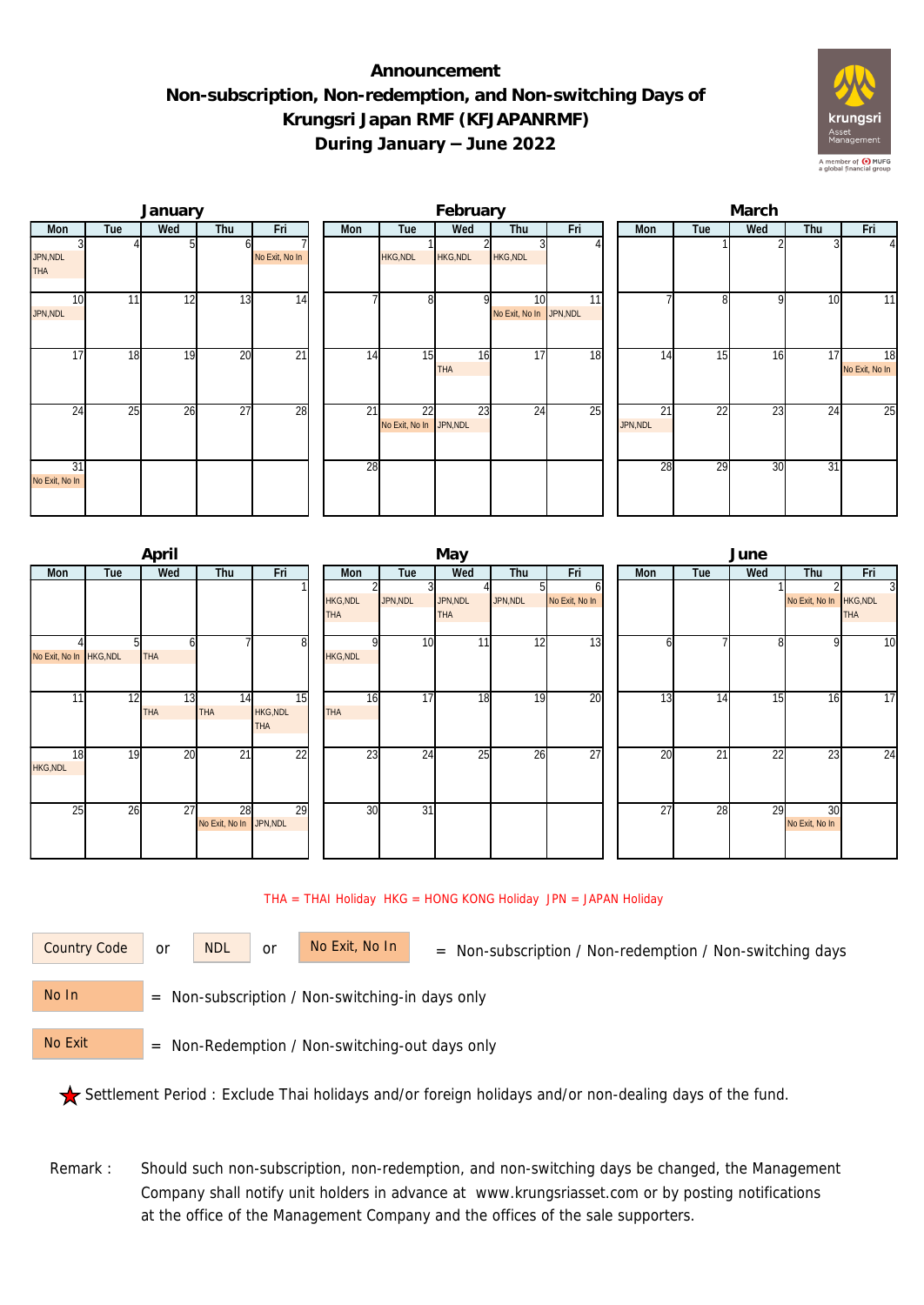## **Announcement Non-subscription, Non-redemption, and Non-switching Days of Krungsri Japan RMF (KFJAPANRMF) During January – June 2022**



|                             |                 | January |                 |                 | February |                               |                  |                                            |     |  |                | March |                 |     |                      |  |  |  |
|-----------------------------|-----------------|---------|-----------------|-----------------|----------|-------------------------------|------------------|--------------------------------------------|-----|--|----------------|-------|-----------------|-----|----------------------|--|--|--|
| Mon                         | Tue             | Wed     | Thu             | Fri             | Mon      | Tue                           | Wed              | Thu                                        | Fri |  | Mon            | Tue   | Wed             | Thu | Fri                  |  |  |  |
| JPN, NDL<br><b>THA</b>      |                 |         |                 | No Exit, No In  |          | HKG, NDL                      | <b>HKG, NDL</b>  | <b>HKG, NDL</b>                            |     |  |                |       |                 |     | $\overline{4}$       |  |  |  |
| 10 <sup>1</sup><br>JPN, NDL | 11 <sub>1</sub> | 12      | 13              | 14              |          | 8                             |                  | 10 <sup>1</sup><br>No Exit, No In JPN, NDL | 11  |  |                |       | Q               | 10  | 11                   |  |  |  |
| 17                          | 18              | 19      | 20              | $\overline{21}$ | 14       | 15                            | 16<br><b>THA</b> | 17                                         | 18  |  | 14             | 15    | 16              | 17  | 18<br>No Exit, No In |  |  |  |
| 24                          | 25              | 26      | $\overline{27}$ | 28              | 21       | 22<br>No Exit, No In JPN, NDL | 23               | 24                                         | 25  |  | 21<br>JPN, NDL | 22    | $\overline{23}$ | 24  | 25                   |  |  |  |
| 31<br>No Exit, No In        |                 |         |                 |                 | 28       |                               |                  |                                            |     |  | 28             | 29    | 30              | 31  |                      |  |  |  |

|                         |     | April            |                               |                                     | May                    |          |                        |          |                     |  |     | June |     |                         |                 |  |  |  |
|-------------------------|-----|------------------|-------------------------------|-------------------------------------|------------------------|----------|------------------------|----------|---------------------|--|-----|------|-----|-------------------------|-----------------|--|--|--|
| <b>Mon</b>              | Tue | Wed              | Thu                           | Fri                                 | Mon                    | Tue      | Wed                    | Thu      | Fri                 |  | Mon | Tue  | Wed | Thu                     | Fri             |  |  |  |
|                         |     |                  |                               |                                     | HKG, NDL<br><b>THA</b> | JPN, NDL | JPN, NDL<br><b>THA</b> | JPN, NDL | n<br>No Exit, No In |  |     |      |     | No Exit, No In HKG, NDL | 3<br><b>THA</b> |  |  |  |
| No Exit, No In HKG, NDL |     | <b>THA</b>       |                               | 81                                  | HKG, NDL               | 10       | 11                     | 12       | 13                  |  |     |      |     | 9                       | 10              |  |  |  |
| 11                      | 12  | 13<br><b>THA</b> | 14<br><b>THA</b>              | 15<br><b>HKG, NDL</b><br><b>THA</b> | 16<br><b>THA</b>       | 17       | 18                     | 19       | 20                  |  | 13  | 14   | 15  | 16                      | 17              |  |  |  |
| 18<br><b>HKG, NDL</b>   | 19  | 20               | $\overline{21}$               | 22                                  | 23                     | 24       | 25                     | 26       | $\overline{27}$     |  | 20  | 21   | 22  | 23                      | $\overline{24}$ |  |  |  |
| 25                      | 26  | 27               | 28<br>No Exit, No In JPN, NDL | 29                                  | 30                     | 31       |                        |          |                     |  | 27  | 28   | 29  | 30<br>No Exit, No In    |                 |  |  |  |

## THA = THAI Holiday HKG = HONG KONG Holiday JPN = JAPAN Holiday

or NDL or

Country Code or NDL or No Exit, No In = Non-subscription / Non-redemption / Non-switching days

 = Non-subscription / Non-switching-in days only No In

 = Non-Redemption / Non-switching-out days only No Exit

Settlement Period : Exclude Thai holidays and/or foreign holidays and/or non-dealing days of the fund.

Remark : Should such non-subscription, non-redemption, and non-switching days be changed, the Management Company shall notify unit holders in advance at www.krungsriasset.com or by posting notifications at the office of the Management Company and the offices of the sale supporters.